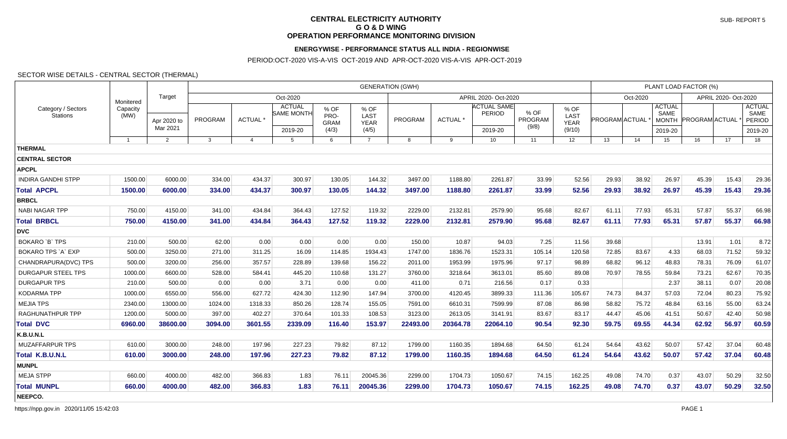# **CENTRAL ELECTRICITY AUTHORITY G O & D WING OPERATION PERFORMANCE MONITORING DIVISION**

# **ENERGYWISE - PERFORMANCE STATUS ALL INDIA - REGIONWISE**

PERIOD:OCT-2020 VIS-A-VIS OCT-2019 AND APR-OCT-2020 VIS-A-VIS APR-OCT-2019

### SECTOR WISE DETAILS - CENTRAL SECTOR (THERMAL)

| Category / Sectors<br><b>Stations</b> |                  | Target<br>Apr 2020 to<br>Mar 2021 |              |                |                                        | PLANT LOAD FACTOR (%)                |                                      |                      |          |                                         |                          |                                       |                |          |                                         |                      |       |                                                   |  |
|---------------------------------------|------------------|-----------------------------------|--------------|----------------|----------------------------------------|--------------------------------------|--------------------------------------|----------------------|----------|-----------------------------------------|--------------------------|---------------------------------------|----------------|----------|-----------------------------------------|----------------------|-------|---------------------------------------------------|--|
|                                       | Monitered        |                                   |              |                | Oct-2020                               |                                      |                                      | APRIL 2020- Oct-2020 |          |                                         |                          |                                       |                | Oct-2020 |                                         | APRIL 2020- Oct-2020 |       |                                                   |  |
|                                       | Capacity<br>(MW) |                                   | PROGRAM      | ACTUAL *       | <b>ACTUAL</b><br>SAME MONTH<br>2019-20 | % OF<br>PRO-<br><b>GRAM</b><br>(4/3) | % OF<br>LAST<br><b>YEAR</b><br>(4/5) | PROGRAM              | ACTUAL * | <b>ACTUAL SAME</b><br>PERIOD<br>2019-20 | % OF<br>PROGRAM<br>(9/8) | % OF<br>LAST<br><b>YEAR</b><br>(9/10) | PROGRAM ACTUAL |          | <b>ACTUAL</b><br><b>SAME</b><br>2019-20 | MONTH PROGRAM ACTUAL |       | <b>ACTUAL</b><br>SAME<br><b>PERIOD</b><br>2019-20 |  |
|                                       | $\mathbf{1}$     | $\overline{2}$                    | $\mathbf{3}$ | $\overline{4}$ | 5                                      | 6                                    | $\overline{7}$                       | 8                    | 9        | 10                                      | 11                       | 12                                    | 13             | 14       | 15                                      | 16                   | 17    | 18                                                |  |
| <b>THERMAL</b>                        |                  |                                   |              |                |                                        |                                      |                                      |                      |          |                                         |                          |                                       |                |          |                                         |                      |       |                                                   |  |
| <b>CENTRAL SECTOR</b>                 |                  |                                   |              |                |                                        |                                      |                                      |                      |          |                                         |                          |                                       |                |          |                                         |                      |       |                                                   |  |
| <b>APCPL</b>                          |                  |                                   |              |                |                                        |                                      |                                      |                      |          |                                         |                          |                                       |                |          |                                         |                      |       |                                                   |  |
| <b>INDIRA GANDHI STPP</b>             | 1500.00          | 6000.00                           | 334.00       | 434.37         | 300.97                                 | 130.05                               | 144.32                               | 3497.00              | 1188.80  | 2261.87                                 | 33.99                    | 52.56                                 | 29.93          | 38.92    | 26.97                                   | 45.39                | 15.43 | 29.36                                             |  |
| <b>Total APCPL</b>                    | 1500.00          | 6000.00                           | 334.00       | 434.37         | 300.97                                 | 130.05                               | 144.32                               | 3497.00              | 1188.80  | 2261.87                                 | 33.99                    | 52.56                                 | 29.93          | 38.92    | 26.97                                   | 45.39                | 15.43 | 29.36                                             |  |
| <b>BRBCL</b>                          |                  |                                   |              |                |                                        |                                      |                                      |                      |          |                                         |                          |                                       |                |          |                                         |                      |       |                                                   |  |
| <b>NABI NAGAR TPP</b>                 | 750.00           | 4150.00                           | 341.00       | 434.84         | 364.43                                 | 127.52                               | 119.32                               | 2229.00              | 2132.81  | 2579.90                                 | 95.68                    | 82.67                                 | 61.11          | 77.93    | 65.31                                   | 57.87                | 55.37 | 66.98                                             |  |
| <b>Total BRBCL</b>                    | 750.00           | 4150.00                           | 341.00       | 434.84         | 364.43                                 | 127.52                               | 119.32                               | 2229.00              | 2132.81  | 2579.90                                 | 95.68                    | 82.67                                 | 61.11          | 77.93    | 65.31                                   | 57.87                | 55.37 | 66.98                                             |  |
| <b>DVC</b>                            |                  |                                   |              |                |                                        |                                      |                                      |                      |          |                                         |                          |                                       |                |          |                                         |                      |       |                                                   |  |
| <b>BOKARO `B` TPS</b>                 | 210.00           | 500.00                            | 62.00        | 0.00           | 0.00                                   | 0.00                                 | 0.00                                 | 150.00               | 10.87    | 94.03                                   | 7.25                     | 11.56                                 | 39.68          |          |                                         | 13.91                | 1.01  | 8.72                                              |  |
| BOKARO TPS `A` EXP                    | 500.00           | 3250.00                           | 271.00       | 311.25         | 16.09                                  | 114.85                               | 1934.43                              | 1747.00              | 1836.76  | 1523.31                                 | 105.14                   | 120.58                                | 72.85          | 83.67    | 4.33                                    | 68.03                | 71.52 | 59.32                                             |  |
| CHANDRAPURA(DVC) TPS                  | 500.00           | 3200.00                           | 256.00       | 357.57         | 228.89                                 | 139.68                               | 156.22                               | 2011.00              | 1953.99  | 1975.96                                 | 97.17                    | 98.89                                 | 68.82          | 96.12    | 48.83                                   | 78.31                | 76.09 | 61.07                                             |  |
| <b>DURGAPUR STEEL TPS</b>             | 1000.00          | 6600.00                           | 528.00       | 584.41         | 445.20                                 | 110.68                               | 131.27                               | 3760.00              | 3218.64  | 3613.01                                 | 85.60                    | 89.08                                 | 70.97          | 78.55    | 59.84                                   | 73.21                | 62.67 | 70.35                                             |  |
| <b>DURGAPUR TPS</b>                   | 210.00           | 500.00                            | 0.00         | 0.00           | 3.71                                   | 0.00                                 | 0.00                                 | 411.00               | 0.71     | 216.56                                  | 0.17                     | 0.33                                  |                |          | 2.37                                    | 38.11                | 0.07  | 20.08                                             |  |
| <b>KODARMA TPP</b>                    | 1000.00          | 6550.00                           | 556.00       | 627.72         | 424.30                                 | 112.90                               | 147.94                               | 3700.00              | 4120.45  | 3899.33                                 | 111.36                   | 105.67                                | 74.73          | 84.37    | 57.03                                   | 72.04                | 80.23 | 75.92                                             |  |
| <b>MEJIA TPS</b>                      | 2340.00          | 13000.00                          | 1024.00      | 1318.33        | 850.26                                 | 128.74                               | 155.05                               | 7591.00              | 6610.31  | 7599.99                                 | 87.08                    | 86.98                                 | 58.82          | 75.72    | 48.84                                   | 63.16                | 55.00 | 63.24                                             |  |
| RAGHUNATHPUR TPP                      | 1200.00          | 5000.00                           | 397.00       | 402.27         | 370.64                                 | 101.33                               | 108.53                               | 3123.00              | 2613.05  | 3141.91                                 | 83.67                    | 83.17                                 | 44.47          | 45.06    | 41.51                                   | 50.67                | 42.40 | 50.98                                             |  |
| <b>Total DVC</b>                      | 6960.00          | 38600.00                          | 3094.00      | 3601.55        | 2339.09                                | 116.40                               | 153.97                               | 22493.00             | 20364.78 | 22064.10                                | 90.54                    | 92.30                                 | 59.75          | 69.55    | 44.34                                   | 62.92                | 56.97 | 60.59                                             |  |
| <b>K.B.U.N.L</b>                      |                  |                                   |              |                |                                        |                                      |                                      |                      |          |                                         |                          |                                       |                |          |                                         |                      |       |                                                   |  |
| <b>MUZAFFARPUR TPS</b>                | 610.00           | 3000.00                           | 248.00       | 197.96         | 227.23                                 | 79.82                                | 87.12                                | 1799.00              | 1160.35  | 1894.68                                 | 64.50                    | 61.24                                 | 54.64          | 43.62    | 50.07                                   | 57.42                | 37.04 | 60.48                                             |  |
| Total K.B.U.N.L                       | 610.00           | 3000.00                           | 248.00       | 197.96         | 227.23                                 | 79.82                                | 87.12                                | 1799.00              | 1160.35  | 1894.68                                 | 64.50                    | 61.24                                 | 54.64          | 43.62    | 50.07                                   | 57.42                | 37.04 | 60.48                                             |  |
| <b>MUNPL</b>                          |                  |                                   |              |                |                                        |                                      |                                      |                      |          |                                         |                          |                                       |                |          |                                         |                      |       |                                                   |  |
| <b>MEJA STPP</b>                      | 660.00           | 4000.00                           | 482.00       | 366.83         | 1.83                                   | 76.11                                | 20045.36                             | 2299.00              | 1704.73  | 1050.67                                 | 74.15                    | 162.25                                | 49.08          | 74.70    | 0.37                                    | 43.07                | 50.29 | 32.50                                             |  |
| <b>Total MUNPL</b>                    | 660.00           | 4000.00                           | 482.00       | 366.83         | 1.83                                   | 76.11                                | 20045.36                             | 2299.00              | 1704.73  | 1050.67                                 | 74.15                    | 162.25                                | 49.08          | 74.70    | 0.37                                    | 43.07                | 50.29 | 32.50                                             |  |
| NEEPCO.                               |                  |                                   |              |                |                                        |                                      |                                      |                      |          |                                         |                          |                                       |                |          |                                         |                      |       |                                                   |  |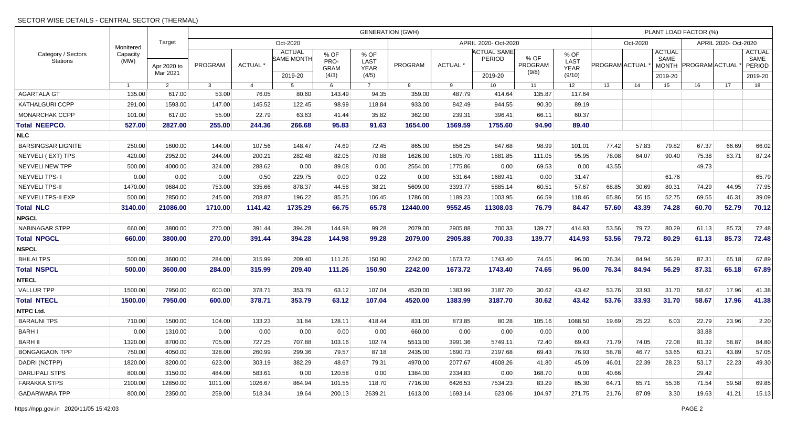### SECTOR WISE DETAILS - CENTRAL SECTOR (THERMAL)

|                                       |                               |                         | <b>GENERATION (GWH)</b> |                |                                               |                                      |                                             |          |         |                                                |                          |                                       |                       |                      | PLANT LOAD FACTOR (%)                            |                       |       |                                            |  |  |  |
|---------------------------------------|-------------------------------|-------------------------|-------------------------|----------------|-----------------------------------------------|--------------------------------------|---------------------------------------------|----------|---------|------------------------------------------------|--------------------------|---------------------------------------|-----------------------|----------------------|--------------------------------------------------|-----------------------|-------|--------------------------------------------|--|--|--|
| Category / Sectors<br><b>Stations</b> |                               | Target                  |                         |                | Oct-2020                                      | APRIL 2020- Oct-2020                 |                                             |          |         |                                                |                          | Oct-2020                              |                       | APRIL 2020- Oct-2020 |                                                  |                       |       |                                            |  |  |  |
|                                       | Monitered<br>Capacity<br>(MW) | Apr 2020 to<br>Mar 2021 | PROGRAM                 | ACTUAL *       | <b>ACTUAL</b><br><b>SAME MONTH</b><br>2019-20 | % OF<br>PRO-<br><b>GRAM</b><br>(4/3) | % OF<br><b>LAST</b><br><b>YEAR</b><br>(4/5) | PROGRAM  | ACTUAL* | <b>ACTUAL SAME</b><br><b>PERIOD</b><br>2019-20 | % OF<br>PROGRAM<br>(9/8) | % OF<br>LAST<br><b>YEAR</b><br>(9/10) | <b>PROGRAM ACTUAL</b> |                      | <b>ACTUAL</b><br>SAME<br><b>MONTH</b><br>2019-20 | <b>PROGRAM ACTUAL</b> |       | <b>ACTUAL</b><br>SAME<br>PERIOD<br>2019-20 |  |  |  |
|                                       | $\overline{1}$                | 2                       | $\mathbf{3}$            | $\overline{4}$ | -5                                            | 6                                    | $\overline{7}$                              | 8        | 9       | 10 <sup>1</sup>                                | 11                       | 12 <sup>2</sup>                       | 13                    | 14                   | 15                                               | 16                    | 17    | 18                                         |  |  |  |
| <b>AGARTALA GT</b>                    | 135.00                        | 617.00                  | 53.00                   | 76.05          | 80.60                                         | 143.49                               | 94.35                                       | 359.00   | 487.79  | 414.64                                         | 135.87                   | 117.64                                |                       |                      |                                                  |                       |       |                                            |  |  |  |
| KATHALGURI CCPP                       | 291.00                        | 1593.00                 | 147.00                  | 145.52         | 122.45                                        | 98.99                                | 118.84                                      | 933.00   | 842.49  | 944.55                                         | 90.30                    | 89.19                                 |                       |                      |                                                  |                       |       |                                            |  |  |  |
| MONARCHAK CCPP                        | 101.00                        | 617.00                  | 55.00                   | 22.79          | 63.63                                         | 41.44                                | 35.82                                       | 362.00   | 239.31  | 396.41                                         | 66.11                    | 60.37                                 |                       |                      |                                                  |                       |       |                                            |  |  |  |
| <b>Total NEEPCO.</b>                  | 527.00                        | 2827.00                 | 255.00                  | 244.36         | 266.68                                        | 95.83                                | 91.63                                       | 1654.00  | 1569.59 | 1755.60                                        | 94.90                    | 89.40                                 |                       |                      |                                                  |                       |       |                                            |  |  |  |
| <b>NLC</b>                            |                               |                         |                         |                |                                               |                                      |                                             |          |         |                                                |                          |                                       |                       |                      |                                                  |                       |       |                                            |  |  |  |
| <b>BARSINGSAR LIGNITE</b>             | 250.00                        | 1600.00                 | 144.00                  | 107.56         | 148.47                                        | 74.69                                | 72.45                                       | 865.00   | 856.25  | 847.68                                         | 98.99                    | 101.01                                | 77.42                 | 57.83                | 79.82                                            | 67.37                 | 66.69 | 66.02                                      |  |  |  |
| NEYVELI (EXT) TPS                     | 420.00                        | 2952.00                 | 244.00                  | 200.21         | 282.48                                        | 82.05                                | 70.88                                       | 1626.00  | 1805.70 | 1881.85                                        | 111.05                   | 95.95                                 | 78.08                 | 64.07                | 90.40                                            | 75.38                 | 83.71 | 87.24                                      |  |  |  |
| NEYVELI NEW TPP                       | 500.00                        | 4000.00                 | 324.00                  | 288.62         | 0.00                                          | 89.08                                | 0.00                                        | 2554.00  | 1775.86 | 0.00                                           | 69.53                    | 0.00                                  | 43.55                 |                      |                                                  | 49.73                 |       |                                            |  |  |  |
| <b>NEYVELI TPS-1</b>                  | 0.00                          | 0.00                    | 0.00                    | 0.50           | 229.75                                        | 0.00                                 | 0.22                                        | 0.00     | 531.64  | 1689.41                                        | 0.00                     | 31.47                                 |                       |                      | 61.76                                            |                       |       | 65.79                                      |  |  |  |
| <b>NEYVELI TPS-II</b>                 | 1470.00                       | 9684.00                 | 753.00                  | 335.66         | 878.37                                        | 44.58                                | 38.21                                       | 5609.00  | 3393.77 | 5885.14                                        | 60.51                    | 57.67                                 | 68.85                 | 30.69                | 80.31                                            | 74.29                 | 44.95 | 77.95                                      |  |  |  |
| <b>NEYVELI TPS-II EXP</b>             | 500.00                        | 2850.00                 | 245.00                  | 208.87         | 196.22                                        | 85.25                                | 106.45                                      | 1786.00  | 1189.23 | 1003.95                                        | 66.59                    | 118.46                                | 65.86                 | 56.15                | 52.75                                            | 69.55                 | 46.31 | 39.09                                      |  |  |  |
| <b>Total NLC</b>                      | 3140.00                       | 21086.00                | 1710.00                 | 1141.42        | 1735.29                                       | 66.75                                | 65.78                                       | 12440.00 | 9552.45 | 11308.03                                       | 76.79                    | 84.47                                 | 57.60                 | 43.39                | 74.28                                            | 60.70                 | 52.79 | 70.12                                      |  |  |  |
| <b>NPGCL</b>                          |                               |                         |                         |                |                                               |                                      |                                             |          |         |                                                |                          |                                       |                       |                      |                                                  |                       |       |                                            |  |  |  |
| NABINAGAR STPP                        | 660.00                        | 3800.00                 | 270.00                  | 391.44         | 394.28                                        | 144.98                               | 99.28                                       | 2079.00  | 2905.88 | 700.33                                         | 139.77                   | 414.93                                | 53.56                 | 79.72                | 80.29                                            | 61.13                 | 85.73 | 72.48                                      |  |  |  |
| <b>Total NPGCL</b>                    | 660.00                        | 3800.00                 | 270.00                  | 391.44         | 394.28                                        | 144.98                               | 99.28                                       | 2079.00  | 2905.88 | 700.33                                         | 139.77                   | 414.93                                | 53.56                 | 79.72                | 80.29                                            | 61.13                 | 85.73 | 72.48                                      |  |  |  |
| <b>NSPCL</b>                          |                               |                         |                         |                |                                               |                                      |                                             |          |         |                                                |                          |                                       |                       |                      |                                                  |                       |       |                                            |  |  |  |
| <b>BHILAI TPS</b>                     | 500.00                        | 3600.00                 | 284.00                  | 315.99         | 209.40                                        | 111.26                               | 150.90                                      | 2242.00  | 1673.72 | 1743.40                                        | 74.65                    | 96.00                                 | 76.34                 | 84.94                | 56.29                                            | 87.31                 | 65.18 | 67.89                                      |  |  |  |
| <b>Total NSPCL</b>                    | 500.00                        | 3600.00                 | 284.00                  | 315.99         | 209.40                                        | 111.26                               | 150.90                                      | 2242.00  | 1673.72 | 1743.40                                        | 74.65                    | 96.00                                 | 76.34                 | 84.94                | 56.29                                            | 87.31                 | 65.18 | 67.89                                      |  |  |  |
| <b>NTECL</b>                          |                               |                         |                         |                |                                               |                                      |                                             |          |         |                                                |                          |                                       |                       |                      |                                                  |                       |       |                                            |  |  |  |
| <b>VALLUR TPP</b>                     | 1500.00                       | 7950.00                 | 600.00                  | 378.71         | 353.79                                        | 63.12                                | 107.04                                      | 4520.00  | 1383.99 | 3187.70                                        | 30.62                    | 43.42                                 | 53.76                 | 33.93                | 31.70                                            | 58.67                 | 17.96 | 41.38                                      |  |  |  |
| <b>Total NTECL</b>                    | 1500.00                       | 7950.00                 | 600.00                  | 378.71         | 353.79                                        | 63.12                                | 107.04                                      | 4520.00  | 1383.99 | 3187.70                                        | 30.62                    | 43.42                                 | 53.76                 | 33.93                | 31.70                                            | 58.67                 | 17.96 | 41.38                                      |  |  |  |
| NTPC Ltd.                             |                               |                         |                         |                |                                               |                                      |                                             |          |         |                                                |                          |                                       |                       |                      |                                                  |                       |       |                                            |  |  |  |
| <b>BARAUNI TPS</b>                    | 710.00                        | 1500.00                 | 104.00                  | 133.23         | 31.84                                         | 128.11                               | 418.44                                      | 831.00   | 873.85  | 80.28                                          | 105.16                   | 1088.50                               | 19.69                 | 25.22                | 6.03                                             | 22.79                 | 23.96 | 2.20                                       |  |  |  |
| <b>BARHI</b>                          | 0.00                          | 1310.00                 | 0.00                    | 0.00           | 0.00                                          | 0.00                                 | 0.00                                        | 660.00   | 0.00    | 0.00                                           | 0.00                     | 0.00                                  |                       |                      |                                                  | 33.88                 |       |                                            |  |  |  |
| <b>BARH II</b>                        | 1320.00                       | 8700.00                 | 705.00                  | 727.25         | 707.88                                        | 103.16                               | 102.74                                      | 5513.00  | 3991.36 | 5749.11                                        | 72.40                    | 69.43                                 | 71.79                 | 74.05                | 72.08                                            | 81.32                 | 58.87 | 84.80                                      |  |  |  |
| <b>BONGAIGAON TPP</b>                 | 750.00                        | 4050.00                 | 328.00                  | 260.99         | 299.36                                        | 79.57                                | 87.18                                       | 2435.00  | 1690.73 | 2197.68                                        | 69.43                    | 76.93                                 | 58.78                 | 46.77                | 53.65                                            | 63.21                 | 43.89 | 57.05                                      |  |  |  |
| DADRI (NCTPP)                         | 1820.00                       | 8200.00                 | 623.00                  | 303.19         | 382.29                                        | 48.67                                | 79.31                                       | 4970.00  | 2077.67 | 4608.26                                        | 41.80                    | 45.09                                 | 46.01                 | 22.39                | 28.23                                            | 53.17                 | 22.23 | 49.30                                      |  |  |  |
| <b>DARLIPALI STPS</b>                 | 800.00                        | 3150.00                 | 484.00                  | 583.61         | 0.00                                          | 120.58                               | 0.00                                        | 1384.00  | 2334.83 | 0.00                                           | 168.70                   | 0.00                                  | 40.66                 |                      |                                                  | 29.42                 |       |                                            |  |  |  |
| <b>FARAKKA STPS</b>                   | 2100.00                       | 12850.00                | 1011.00                 | 1026.67        | 864.94                                        | 101.55                               | 118.70                                      | 7716.00  | 6426.53 | 7534.23                                        | 83.29                    | 85.30                                 | 64.71                 | 65.71                | 55.36                                            | 71.54                 | 59.58 | 69.85                                      |  |  |  |
| <b>GADARWARA TPP</b>                  | 800.00                        | 2350.00                 | 259.00                  | 518.34         | 19.64                                         | 200.13                               | 2639.21                                     | 1613.00  | 1693.14 | 623.06                                         | 104.97                   | 271.75                                | 21.76                 | 87.09                | 3.30                                             | 19.63                 | 41.21 | 15.13                                      |  |  |  |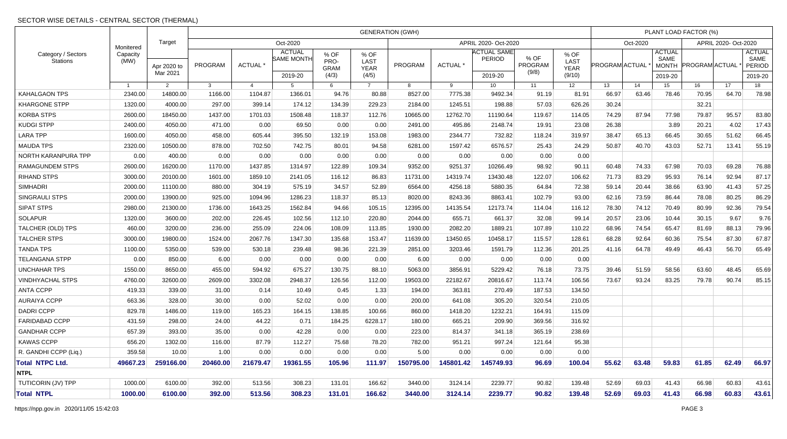| Monitered<br>Capacity<br>(MW) | Target                                                     | <b>GENERATION (GWH)</b>                                      |                                             |                                                        |                                                                                                |                                                 |                                                                               |                                                |                                                          |                                                                                                                                                                                                           |                                                                                                    |                             |                                                                                                                                                                                                                                                                               | PLANT LOAD FACTOR (%)                  |                                                  |                                                 |                                                       |                                        |  |  |  |  |  |
|-------------------------------|------------------------------------------------------------|--------------------------------------------------------------|---------------------------------------------|--------------------------------------------------------|------------------------------------------------------------------------------------------------|-------------------------------------------------|-------------------------------------------------------------------------------|------------------------------------------------|----------------------------------------------------------|-----------------------------------------------------------------------------------------------------------------------------------------------------------------------------------------------------------|----------------------------------------------------------------------------------------------------|-----------------------------|-------------------------------------------------------------------------------------------------------------------------------------------------------------------------------------------------------------------------------------------------------------------------------|----------------------------------------|--------------------------------------------------|-------------------------------------------------|-------------------------------------------------------|----------------------------------------|--|--|--|--|--|
|                               |                                                            | Oct-2020                                                     |                                             |                                                        |                                                                                                |                                                 |                                                                               |                                                |                                                          |                                                                                                                                                                                                           | Oct-2020                                                                                           |                             |                                                                                                                                                                                                                                                                               | APRIL 2020- Oct-2020                   |                                                  |                                                 |                                                       |                                        |  |  |  |  |  |
|                               | Apr 2020 to                                                |                                                              | PROGRAM                                     | <b>ACTUAL</b>                                          | <b>ACTUAL</b>                                                                                  | % OF<br>PRO-<br><b>GRAM</b>                     | $%$ OF<br>LAST<br><b>YEAR</b>                                                 | PROGRAM                                        | ACTUAL <sup>*</sup>                                      | <b>PERIOD</b>                                                                                                                                                                                             | % OF<br>PROGRAM                                                                                    | % OF<br>LAST<br><b>YEAR</b> |                                                                                                                                                                                                                                                                               |                                        | <b>ACTUAL</b><br>SAME<br><b>MONTH</b>            |                                                 |                                                       | <b>ACTUAL</b><br>SAME<br><b>PERIOD</b> |  |  |  |  |  |
|                               |                                                            |                                                              |                                             |                                                        |                                                                                                |                                                 |                                                                               |                                                |                                                          |                                                                                                                                                                                                           |                                                                                                    |                             |                                                                                                                                                                                                                                                                               |                                        |                                                  |                                                 | 2019-20<br>18                                         |                                        |  |  |  |  |  |
|                               |                                                            |                                                              |                                             |                                                        |                                                                                                |                                                 |                                                                               |                                                |                                                          |                                                                                                                                                                                                           |                                                                                                    |                             |                                                                                                                                                                                                                                                                               |                                        |                                                  |                                                 | 78.98                                                 |                                        |  |  |  |  |  |
|                               |                                                            |                                                              |                                             |                                                        |                                                                                                |                                                 |                                                                               |                                                |                                                          |                                                                                                                                                                                                           |                                                                                                    |                             |                                                                                                                                                                                                                                                                               |                                        |                                                  |                                                 |                                                       |                                        |  |  |  |  |  |
|                               | 18450.00                                                   |                                                              |                                             |                                                        |                                                                                                | 112.76                                          |                                                                               |                                                |                                                          | 119.67                                                                                                                                                                                                    |                                                                                                    |                             | 87.94                                                                                                                                                                                                                                                                         | 77.98                                  |                                                  | 95.57                                           | 83.80                                                 |                                        |  |  |  |  |  |
|                               |                                                            |                                                              |                                             |                                                        |                                                                                                |                                                 |                                                                               |                                                |                                                          |                                                                                                                                                                                                           |                                                                                                    |                             |                                                                                                                                                                                                                                                                               |                                        |                                                  |                                                 | 17.43                                                 |                                        |  |  |  |  |  |
| 1600.00                       | 4050.00                                                    | 458.00                                                       | 605.44                                      | 395.50                                                 | 132.19                                                                                         | 153.08                                          | 1983.00                                                                       | 2344.77                                        |                                                          | 118.24                                                                                                                                                                                                    | 319.97                                                                                             | 38.47                       | 65.13                                                                                                                                                                                                                                                                         |                                        | 30.65                                            | 51.62                                           | 66.45                                                 |                                        |  |  |  |  |  |
| 2320.00                       | 10500.00                                                   | 878.00                                                       | 702.50                                      |                                                        | 80.01                                                                                          |                                                 | 6281.00                                                                       |                                                | 6576.57                                                  | 25.43                                                                                                                                                                                                     |                                                                                                    |                             |                                                                                                                                                                                                                                                                               |                                        |                                                  |                                                 | 55.19                                                 |                                        |  |  |  |  |  |
| 0.00                          | 400.00                                                     | 0.00                                                         | 0.00                                        | 0.00                                                   | 0.00                                                                                           | 0.00                                            | 0.00                                                                          | 0.00                                           | 0.00                                                     | 0.00                                                                                                                                                                                                      |                                                                                                    |                             |                                                                                                                                                                                                                                                                               |                                        |                                                  |                                                 |                                                       |                                        |  |  |  |  |  |
| 2600.00                       | 16200.00                                                   | 1170.00                                                      | 1437.85                                     | 1314.97                                                | 122.89                                                                                         | 109.34                                          | 9352.00                                                                       | 9251.37                                        |                                                          | 98.92                                                                                                                                                                                                     | 90.11                                                                                              | 60.48                       | 74.33                                                                                                                                                                                                                                                                         | 67.98                                  | 70.03                                            | 69.28                                           | 76.88                                                 |                                        |  |  |  |  |  |
| 3000.00                       | 20100.00                                                   | 1601.00                                                      | 1859.10                                     | 2141.05                                                | 116.12                                                                                         | 86.83                                           | 11731.00                                                                      | 14319.74                                       |                                                          | 122.07                                                                                                                                                                                                    |                                                                                                    | 71.73                       | 83.29                                                                                                                                                                                                                                                                         | 95.93                                  | 76.14                                            | 92.94                                           | 87.17                                                 |                                        |  |  |  |  |  |
| 2000.00                       | 11100.00                                                   | 880.00                                                       | 304.19                                      | 575.19                                                 | 34.57                                                                                          | 52.89                                           | 6564.00                                                                       | 4256.18                                        |                                                          | 64.84                                                                                                                                                                                                     |                                                                                                    | 59.14                       | 20.44                                                                                                                                                                                                                                                                         | 38.66                                  | 63.90                                            | 41.43                                           | 57.25                                                 |                                        |  |  |  |  |  |
| 2000.00                       | 13900.00                                                   | 925.00                                                       | 1094.96                                     | 1286.23                                                | 118.37                                                                                         | 85.13                                           | 8020.00                                                                       | 8243.36                                        | 8863.41                                                  | 102.79                                                                                                                                                                                                    |                                                                                                    | 62.16                       | 73.59                                                                                                                                                                                                                                                                         | 86.44                                  | 78.08                                            | 80.25                                           | 86.29                                                 |                                        |  |  |  |  |  |
| 2980.00                       | 21300.00                                                   | 1736.00                                                      | 1643.25                                     | 1562.84                                                | 94.66                                                                                          | 105.15                                          | 12395.00                                                                      | 14135.54                                       |                                                          | 114.04                                                                                                                                                                                                    |                                                                                                    | 78.30                       | 74.12                                                                                                                                                                                                                                                                         | 70.49                                  | 80.99                                            | 92.36                                           | 79.54                                                 |                                        |  |  |  |  |  |
| 1320.00                       | 3600.00                                                    | 202.00                                                       | 226.45                                      | 102.56                                                 | 112.10                                                                                         | 220.80                                          | 2044.00                                                                       | 655.71                                         | 661.37                                                   | 32.08                                                                                                                                                                                                     | 99.14                                                                                              | 20.57                       | 23.06                                                                                                                                                                                                                                                                         | 10.44                                  | 30.15                                            | 9.67                                            | 9.76                                                  |                                        |  |  |  |  |  |
| 460.00                        | 3200.00                                                    | 236.00                                                       | 255.09                                      | 224.06                                                 | 108.09                                                                                         | 113.85                                          | 1930.00                                                                       | 2082.20                                        | 1889.21                                                  | 107.89                                                                                                                                                                                                    |                                                                                                    | 68.96                       | 74.54                                                                                                                                                                                                                                                                         | 65.47                                  | 81.69                                            | 88.13                                           | 79.96                                                 |                                        |  |  |  |  |  |
| 3000.00                       | 19800.00                                                   | 1524.00                                                      | 2067.76                                     | 1347.30                                                | 135.68                                                                                         | 153.47                                          | 11639.00                                                                      | 13450.65                                       | 10458.17                                                 | 115.57                                                                                                                                                                                                    | 128.61                                                                                             | 68.28                       | 92.64                                                                                                                                                                                                                                                                         | 60.36                                  | 75.54                                            | 87.30                                           | 67.87                                                 |                                        |  |  |  |  |  |
| 1100.00                       | 5350.00                                                    | 539.00                                                       | 530.18                                      | 239.48                                                 | 98.36                                                                                          | 221.39                                          | 2851.00                                                                       | 3203.46                                        |                                                          | 112.36                                                                                                                                                                                                    |                                                                                                    | 41.16                       | 64.78                                                                                                                                                                                                                                                                         | 49.49                                  | 46.43                                            | 56.70                                           | 65.49                                                 |                                        |  |  |  |  |  |
| 0.00                          | 850.00                                                     | 6.00                                                         | 0.00                                        | 0.00                                                   | 0.00                                                                                           | 0.00                                            | 6.00                                                                          | 0.00                                           | 0.00                                                     | 0.00                                                                                                                                                                                                      |                                                                                                    |                             |                                                                                                                                                                                                                                                                               |                                        |                                                  |                                                 |                                                       |                                        |  |  |  |  |  |
| 1550.00                       | 8650.00                                                    | 455.00                                                       | 594.92                                      | 675.27                                                 | 130.75                                                                                         | 88.10                                           | 5063.00                                                                       | 3856.91                                        |                                                          | 76.18                                                                                                                                                                                                     |                                                                                                    | 39.46                       | 51.59                                                                                                                                                                                                                                                                         | 58.56                                  | 63.60                                            | 48.45                                           | 65.69                                                 |                                        |  |  |  |  |  |
| 4760.00                       | 32600.00                                                   | 2609.00                                                      | 3302.08                                     | 2948.37                                                | 126.56                                                                                         | 112.00                                          | 19503.00                                                                      | 22182.67                                       | 20816.67                                                 | 113.74                                                                                                                                                                                                    |                                                                                                    | 73.67                       | 93.24                                                                                                                                                                                                                                                                         | 83.25                                  | 79.78                                            | 90.74                                           | 85.15                                                 |                                        |  |  |  |  |  |
| 419.33                        | 339.00                                                     | 31.00                                                        | 0.14                                        | 10.49                                                  | 0.45                                                                                           |                                                 | 194.00                                                                        | 363.81                                         |                                                          | 187.53                                                                                                                                                                                                    |                                                                                                    |                             |                                                                                                                                                                                                                                                                               |                                        |                                                  |                                                 |                                                       |                                        |  |  |  |  |  |
| 663.36                        | 328.00                                                     | 30.00                                                        | 0.00                                        | 52.02                                                  | 0.00                                                                                           | 0.00                                            | 200.00                                                                        | 641.08                                         | 305.20                                                   | 320.54                                                                                                                                                                                                    |                                                                                                    |                             |                                                                                                                                                                                                                                                                               |                                        |                                                  |                                                 |                                                       |                                        |  |  |  |  |  |
| 829.78                        | 1486.00                                                    | 119.00                                                       | 165.23                                      | 164.15                                                 | 138.85                                                                                         |                                                 | 860.00                                                                        | 1418.20                                        | 1232.21                                                  | 164.91                                                                                                                                                                                                    |                                                                                                    |                             |                                                                                                                                                                                                                                                                               |                                        |                                                  |                                                 |                                                       |                                        |  |  |  |  |  |
| 431.59                        | 298.00                                                     | 24.00                                                        | 44.22                                       | 0.71                                                   | 184.25                                                                                         | 6228.17                                         | 180.00                                                                        | 665.21                                         | 209.90                                                   | 369.56                                                                                                                                                                                                    |                                                                                                    |                             |                                                                                                                                                                                                                                                                               |                                        |                                                  |                                                 |                                                       |                                        |  |  |  |  |  |
| 657.39                        | 393.00                                                     | 35.00                                                        | 0.00                                        | 42.28                                                  | 0.00                                                                                           | 0.00                                            | 223.00                                                                        | 814.37                                         |                                                          | 365.19                                                                                                                                                                                                    |                                                                                                    |                             |                                                                                                                                                                                                                                                                               |                                        |                                                  |                                                 |                                                       |                                        |  |  |  |  |  |
| 656.20                        | 1302.00                                                    | 116.00                                                       | 87.79                                       | 112.27                                                 | 75.68                                                                                          | 78.20                                           | 782.00                                                                        | 951.21                                         |                                                          | 121.64                                                                                                                                                                                                    |                                                                                                    |                             |                                                                                                                                                                                                                                                                               |                                        |                                                  |                                                 |                                                       |                                        |  |  |  |  |  |
| 359.58                        | 10.00                                                      | 1.00                                                         | 0.00                                        | 0.00                                                   | 0.00                                                                                           | 0.00                                            | 5.00                                                                          | 0.00                                           |                                                          | 0.00                                                                                                                                                                                                      |                                                                                                    |                             |                                                                                                                                                                                                                                                                               |                                        |                                                  |                                                 |                                                       |                                        |  |  |  |  |  |
| 49667.23                      | 259166.00                                                  | 20460.00                                                     | 21679.47                                    | 19361.55                                               | 105.96                                                                                         | 111.97                                          | 150795.00                                                                     | 145801.42                                      |                                                          | 96.69                                                                                                                                                                                                     | 100.04                                                                                             | 55.62                       | 63.48                                                                                                                                                                                                                                                                         | 59.83                                  | 61.85                                            | 62.49                                           | 66.97                                                 |                                        |  |  |  |  |  |
|                               |                                                            |                                                              |                                             |                                                        |                                                                                                |                                                 |                                                                               |                                                |                                                          |                                                                                                                                                                                                           |                                                                                                    |                             |                                                                                                                                                                                                                                                                               |                                        |                                                  |                                                 |                                                       |                                        |  |  |  |  |  |
| 1000.00                       | 6100.00                                                    | 392.00                                                       | 513.56                                      | 308.23                                                 | 131.01                                                                                         | 166.62                                          | 3440.00                                                                       | 3124.14                                        |                                                          | 90.82                                                                                                                                                                                                     |                                                                                                    | 52.69                       | 69.03                                                                                                                                                                                                                                                                         | 41.43                                  | 66.98                                            | 60.83                                           | 43.61                                                 |                                        |  |  |  |  |  |
| 1000.00                       | 6100.00                                                    | 392.00                                                       | 513.56                                      | 308.23                                                 | 131.01                                                                                         | 166.62                                          | 3440.00                                                                       | 3124.14                                        |                                                          | 90.82                                                                                                                                                                                                     |                                                                                                    | 52.69                       | 69.03                                                                                                                                                                                                                                                                         | 41.43                                  | 66.98                                            | 60.83                                           | 43.61                                                 |                                        |  |  |  |  |  |
|                               | $\overline{1}$<br>2340.00<br>1320.00<br>2600.00<br>2400.00 | Mar 2021<br>$\overline{2}$<br>14800.00<br>4000.00<br>4050.00 | 3<br>1166.00<br>297.00<br>1437.00<br>471.00 | $\overline{4}$<br>1104.87<br>399.14<br>1701.03<br>0.00 | <b>SAME MONTH</b><br>2019-20<br>$5^{\circ}$<br>1366.01<br>174.12<br>1508.48<br>69.50<br>742.75 | (4/3)<br>6<br>94.76<br>134.39<br>118.37<br>0.00 | (4/5)<br>$\overline{7}$<br>80.88<br>229.23<br>0.00<br>94.58<br>1.33<br>100.66 | 8<br>8527.00<br>2184.00<br>10665.00<br>2491.00 | 9<br>7775.38<br>1245.51<br>12762.70<br>495.86<br>1597.42 | 2019-20<br>10 <sup>1</sup><br>9492.34<br>198.88<br>11190.64<br>2148.74<br>732.82<br>10266.49<br>13430.48<br>5880.35<br>12173.74<br>1591.79<br>5229.42<br>270.49<br>997.24<br>0.00<br>145749.93<br>2239.77 | APRIL 2020- Oct-2020<br>ACTUAL SAME<br>(9/8)<br>11<br>91.19<br>57.03<br>19.91<br>341.18<br>2239.77 | (9/10)<br>12<br>81.91       | 13<br>66.97<br>626.26<br>30.24<br>114.05<br>74.29<br>23.08<br>26.38<br>24.29<br>50.87<br>0.00<br>106.62<br>72.38<br>93.00<br>116.12<br>110.22<br>201.25<br>0.00<br>73.75<br>106.56<br>134.50<br>210.05<br>115.09<br>316.92<br>238.69<br>95.38<br>$0.00\,$<br>139.48<br>139.48 | PROGRAM ACTUAL<br>14<br>63.46<br>40.70 | 2019-20<br>15<br>78.46<br>3.89<br>66.45<br>43.03 | 16<br>70.95<br>32.21<br>79.87<br>20.21<br>52.71 | <b>PROGRAM ACTUAL</b><br>17<br>64.70<br>4.02<br>13.41 |                                        |  |  |  |  |  |